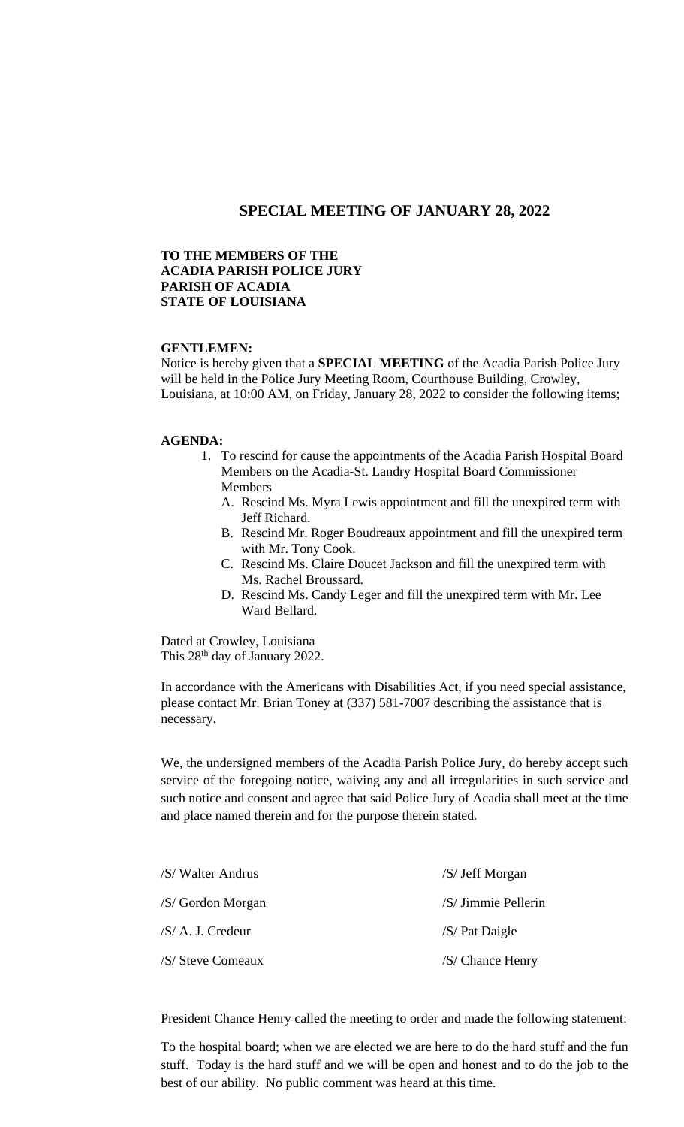## **SPECIAL MEETING OF JANUARY 28, 2022**

### **TO THE MEMBERS OF THE ACADIA PARISH POLICE JURY PARISH OF ACADIA STATE OF LOUISIANA**

#### **GENTLEMEN:**

Notice is hereby given that a **SPECIAL MEETING** of the Acadia Parish Police Jury will be held in the Police Jury Meeting Room, Courthouse Building, Crowley, Louisiana, at 10:00 AM, on Friday, January 28, 2022 to consider the following items;

### **AGENDA:**

- 1. To rescind for cause the appointments of the Acadia Parish Hospital Board Members on the Acadia-St. Landry Hospital Board Commissioner Members
	- A. Rescind Ms. Myra Lewis appointment and fill the unexpired term with Jeff Richard.
	- B. Rescind Mr. Roger Boudreaux appointment and fill the unexpired term with Mr. Tony Cook.
	- C. Rescind Ms. Claire Doucet Jackson and fill the unexpired term with Ms. Rachel Broussard.
	- D. Rescind Ms. Candy Leger and fill the unexpired term with Mr. Lee Ward Bellard.

Dated at Crowley, Louisiana This 28<sup>th</sup> day of January 2022.

In accordance with the Americans with Disabilities Act, if you need special assistance, please contact Mr. Brian Toney at (337) 581-7007 describing the assistance that is necessary.

We, the undersigned members of the Acadia Parish Police Jury, do hereby accept such service of the foregoing notice, waiving any and all irregularities in such service and such notice and consent and agree that said Police Jury of Acadia shall meet at the time and place named therein and for the purpose therein stated.

| /S/ Walter Andrus | /S/ Jeff Morgan     |
|-------------------|---------------------|
| /S/ Gordon Morgan | /S/ Jimmie Pellerin |
| /S/ A. J. Credeur | $/S$ Pat Daigle     |
| /S/ Steve Comeaux | /S/ Chance Henry    |

President Chance Henry called the meeting to order and made the following statement:

To the hospital board; when we are elected we are here to do the hard stuff and the fun stuff. Today is the hard stuff and we will be open and honest and to do the job to the best of our ability. No public comment was heard at this time.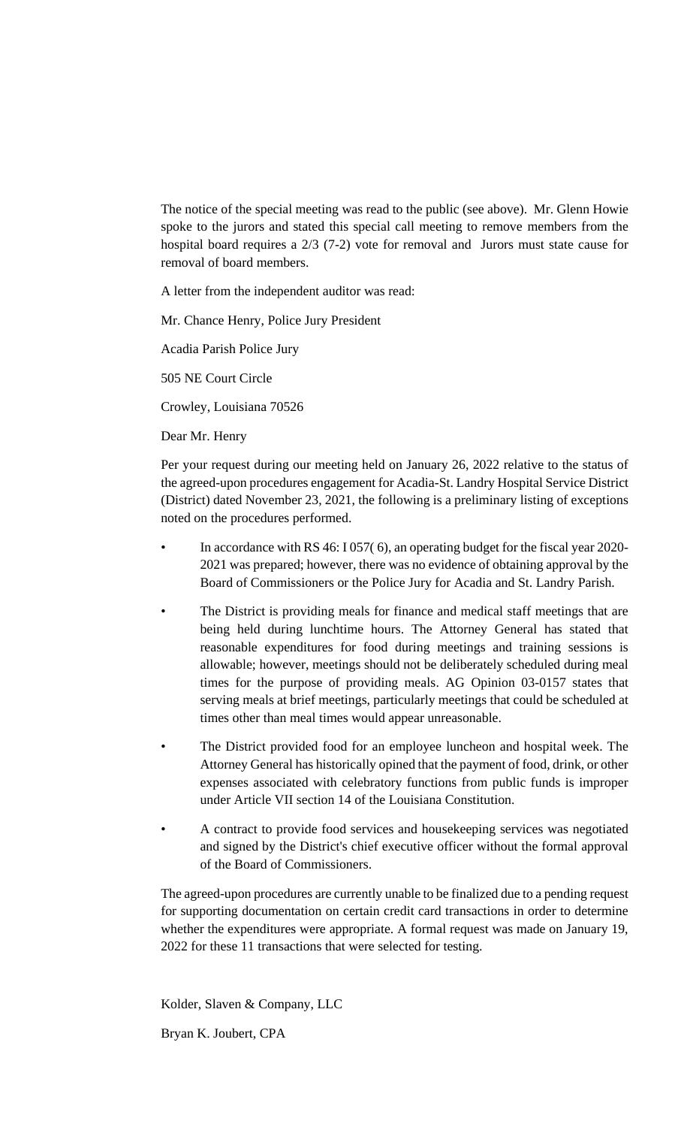The notice of the special meeting was read to the public (see above). Mr. Glenn Howie spoke to the jurors and stated this special call meeting to remove members from the hospital board requires a 2/3 (7-2) vote for removal and Jurors must state cause for removal of board members.

A letter from the independent auditor was read:

Mr. Chance Henry, Police Jury President

Acadia Parish Police Jury

505 NE Court Circle

Crowley, Louisiana 70526

Dear Mr. Henry

Per your request during our meeting held on January 26, 2022 relative to the status of the agreed-upon procedures engagement for Acadia-St. Landry Hospital Service District (District) dated November 23, 2021, the following is a preliminary listing of exceptions noted on the procedures performed.

- In accordance with RS 46: I 057( 6), an operating budget for the fiscal year 2020- 2021 was prepared; however, there was no evidence of obtaining approval by the Board of Commissioners or the Police Jury for Acadia and St. Landry Parish.
- The District is providing meals for finance and medical staff meetings that are being held during lunchtime hours. The Attorney General has stated that reasonable expenditures for food during meetings and training sessions is allowable; however, meetings should not be deliberately scheduled during meal times for the purpose of providing meals. AG Opinion 03-0157 states that serving meals at brief meetings, particularly meetings that could be scheduled at times other than meal times would appear unreasonable.
- The District provided food for an employee luncheon and hospital week. The Attorney General has historically opined that the payment of food, drink, or other expenses associated with celebratory functions from public funds is improper under Article VII section 14 of the Louisiana Constitution.
- A contract to provide food services and housekeeping services was negotiated and signed by the District's chief executive officer without the formal approval of the Board of Commissioners.

The agreed-upon procedures are currently unable to be finalized due to a pending request for supporting documentation on certain credit card transactions in order to determine whether the expenditures were appropriate. A formal request was made on January 19, 2022 for these 11 transactions that were selected for testing.

Kolder, Slaven & Company, LLC

Bryan K. Joubert, CPA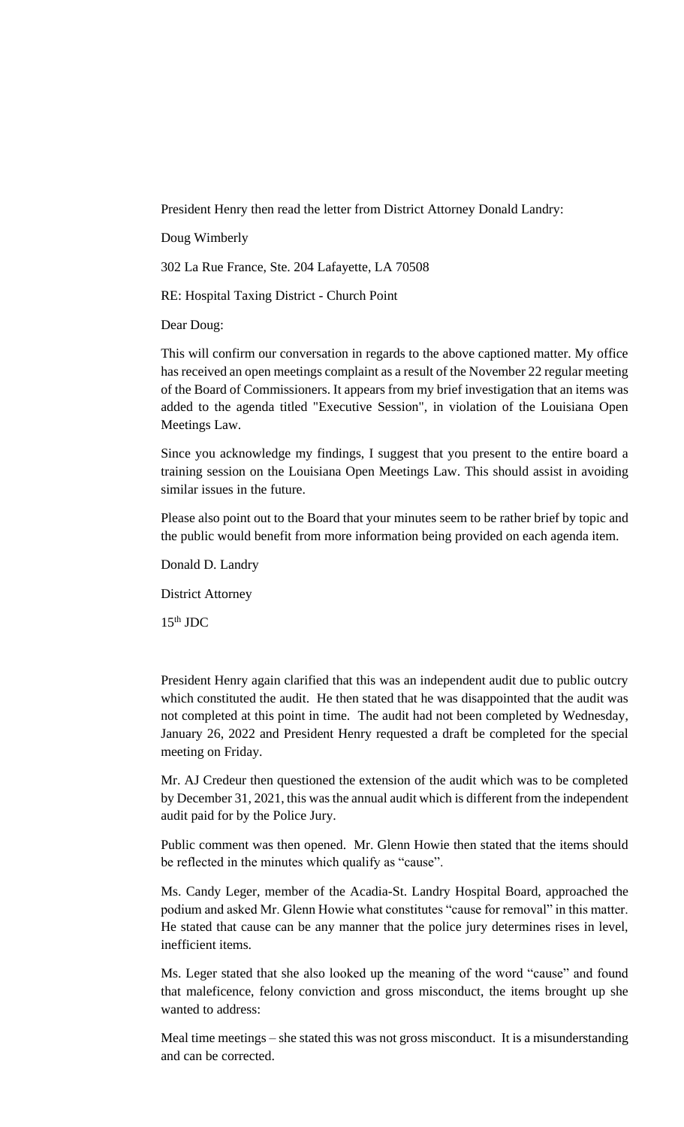President Henry then read the letter from District Attorney Donald Landry:

Doug Wimberly

302 La Rue France, Ste. 204 Lafayette, LA 70508

RE: Hospital Taxing District - Church Point

Dear Doug:

This will confirm our conversation in regards to the above captioned matter. My office has received an open meetings complaint as a result of the November 22 regular meeting of the Board of Commissioners. It appears from my brief investigation that an items was added to the agenda titled "Executive Session", in violation of the Louisiana Open Meetings Law.

Since you acknowledge my findings, I suggest that you present to the entire board a training session on the Louisiana Open Meetings Law. This should assist in avoiding similar issues in the future.

Please also point out to the Board that your minutes seem to be rather brief by topic and the public would benefit from more information being provided on each agenda item.

Donald D. Landry

District Attorney

 $15<sup>th</sup>$  JDC

President Henry again clarified that this was an independent audit due to public outcry which constituted the audit. He then stated that he was disappointed that the audit was not completed at this point in time. The audit had not been completed by Wednesday, January 26, 2022 and President Henry requested a draft be completed for the special meeting on Friday.

Mr. AJ Credeur then questioned the extension of the audit which was to be completed by December 31, 2021, this was the annual audit which is different from the independent audit paid for by the Police Jury.

Public comment was then opened. Mr. Glenn Howie then stated that the items should be reflected in the minutes which qualify as "cause".

Ms. Candy Leger, member of the Acadia-St. Landry Hospital Board, approached the podium and asked Mr. Glenn Howie what constitutes "cause for removal" in this matter. He stated that cause can be any manner that the police jury determines rises in level, inefficient items.

Ms. Leger stated that she also looked up the meaning of the word "cause" and found that maleficence, felony conviction and gross misconduct, the items brought up she wanted to address:

Meal time meetings – she stated this was not gross misconduct. It is a misunderstanding and can be corrected.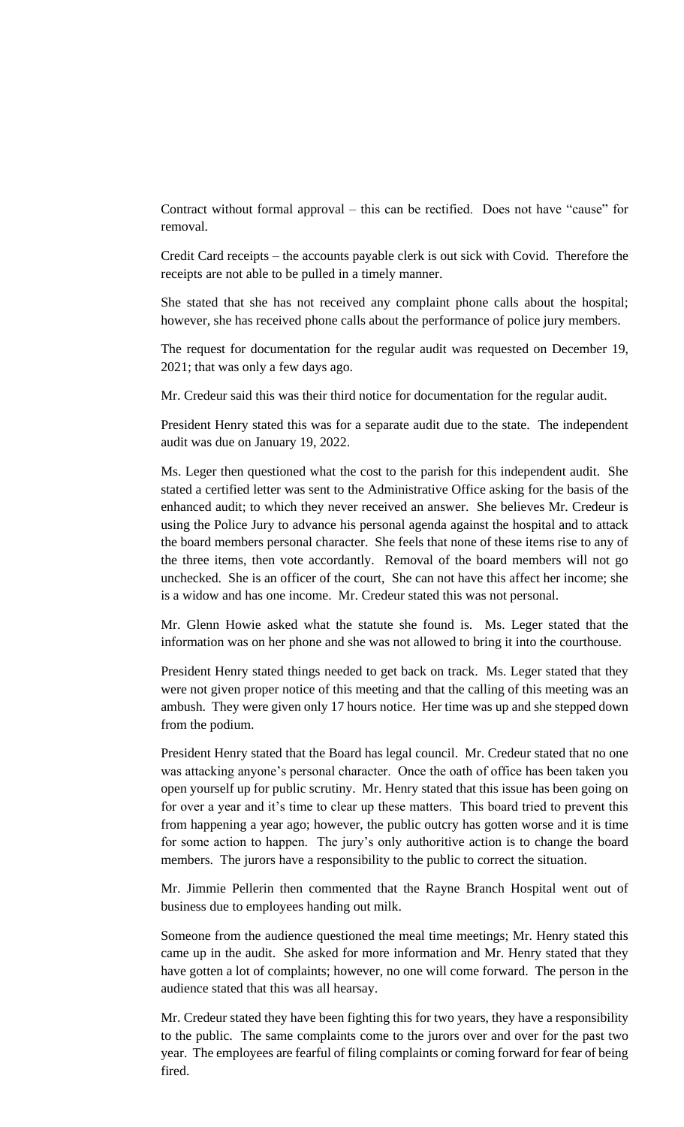Contract without formal approval – this can be rectified. Does not have "cause" for removal.

Credit Card receipts – the accounts payable clerk is out sick with Covid. Therefore the receipts are not able to be pulled in a timely manner.

She stated that she has not received any complaint phone calls about the hospital; however, she has received phone calls about the performance of police jury members.

The request for documentation for the regular audit was requested on December 19, 2021; that was only a few days ago.

Mr. Credeur said this was their third notice for documentation for the regular audit.

President Henry stated this was for a separate audit due to the state. The independent audit was due on January 19, 2022.

Ms. Leger then questioned what the cost to the parish for this independent audit. She stated a certified letter was sent to the Administrative Office asking for the basis of the enhanced audit; to which they never received an answer. She believes Mr. Credeur is using the Police Jury to advance his personal agenda against the hospital and to attack the board members personal character. She feels that none of these items rise to any of the three items, then vote accordantly. Removal of the board members will not go unchecked. She is an officer of the court, She can not have this affect her income; she is a widow and has one income. Mr. Credeur stated this was not personal.

Mr. Glenn Howie asked what the statute she found is. Ms. Leger stated that the information was on her phone and she was not allowed to bring it into the courthouse.

President Henry stated things needed to get back on track. Ms. Leger stated that they were not given proper notice of this meeting and that the calling of this meeting was an ambush. They were given only 17 hours notice. Her time was up and she stepped down from the podium.

President Henry stated that the Board has legal council. Mr. Credeur stated that no one was attacking anyone's personal character. Once the oath of office has been taken you open yourself up for public scrutiny. Mr. Henry stated that this issue has been going on for over a year and it's time to clear up these matters. This board tried to prevent this from happening a year ago; however, the public outcry has gotten worse and it is time for some action to happen. The jury's only authoritive action is to change the board members. The jurors have a responsibility to the public to correct the situation.

Mr. Jimmie Pellerin then commented that the Rayne Branch Hospital went out of business due to employees handing out milk.

Someone from the audience questioned the meal time meetings; Mr. Henry stated this came up in the audit. She asked for more information and Mr. Henry stated that they have gotten a lot of complaints; however, no one will come forward. The person in the audience stated that this was all hearsay.

Mr. Credeur stated they have been fighting this for two years, they have a responsibility to the public. The same complaints come to the jurors over and over for the past two year. The employees are fearful of filing complaints or coming forward for fear of being fired.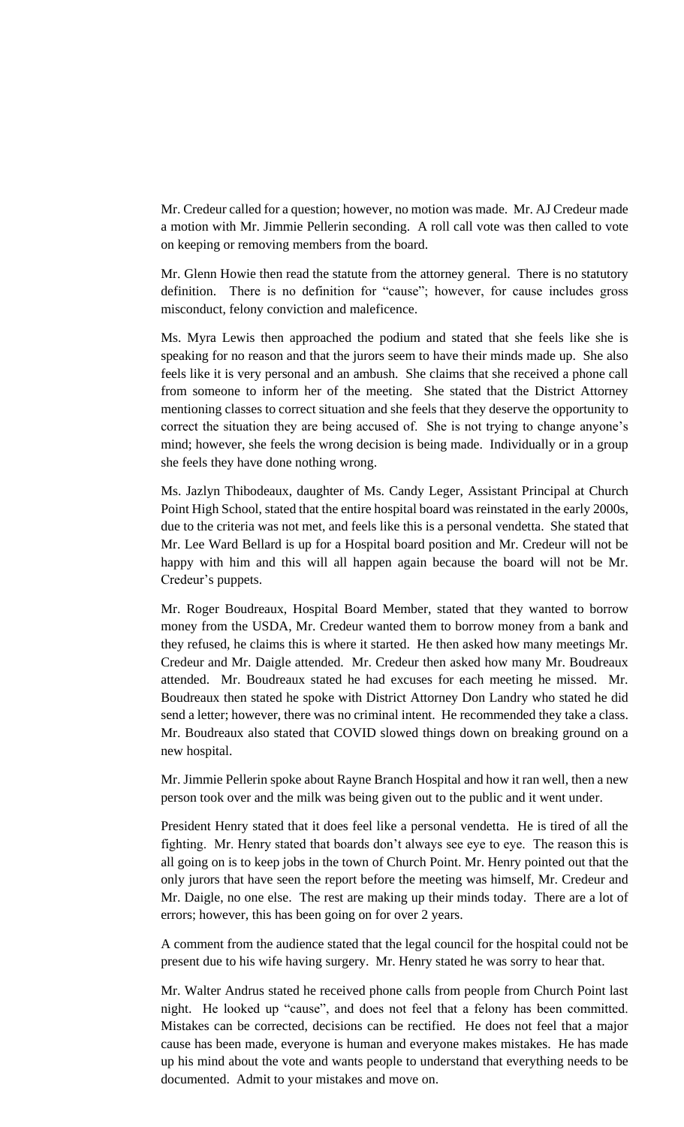Mr. Credeur called for a question; however, no motion was made. Mr. AJ Credeur made a motion with Mr. Jimmie Pellerin seconding. A roll call vote was then called to vote on keeping or removing members from the board.

Mr. Glenn Howie then read the statute from the attorney general. There is no statutory definition. There is no definition for "cause"; however, for cause includes gross misconduct, felony conviction and maleficence.

Ms. Myra Lewis then approached the podium and stated that she feels like she is speaking for no reason and that the jurors seem to have their minds made up. She also feels like it is very personal and an ambush. She claims that she received a phone call from someone to inform her of the meeting. She stated that the District Attorney mentioning classes to correct situation and she feels that they deserve the opportunity to correct the situation they are being accused of. She is not trying to change anyone's mind; however, she feels the wrong decision is being made. Individually or in a group she feels they have done nothing wrong.

Ms. Jazlyn Thibodeaux, daughter of Ms. Candy Leger, Assistant Principal at Church Point High School, stated that the entire hospital board was reinstated in the early 2000s, due to the criteria was not met, and feels like this is a personal vendetta. She stated that Mr. Lee Ward Bellard is up for a Hospital board position and Mr. Credeur will not be happy with him and this will all happen again because the board will not be Mr. Credeur's puppets.

Mr. Roger Boudreaux, Hospital Board Member, stated that they wanted to borrow money from the USDA, Mr. Credeur wanted them to borrow money from a bank and they refused, he claims this is where it started. He then asked how many meetings Mr. Credeur and Mr. Daigle attended. Mr. Credeur then asked how many Mr. Boudreaux attended. Mr. Boudreaux stated he had excuses for each meeting he missed. Mr. Boudreaux then stated he spoke with District Attorney Don Landry who stated he did send a letter; however, there was no criminal intent. He recommended they take a class. Mr. Boudreaux also stated that COVID slowed things down on breaking ground on a new hospital.

Mr. Jimmie Pellerin spoke about Rayne Branch Hospital and how it ran well, then a new person took over and the milk was being given out to the public and it went under.

President Henry stated that it does feel like a personal vendetta. He is tired of all the fighting. Mr. Henry stated that boards don't always see eye to eye. The reason this is all going on is to keep jobs in the town of Church Point. Mr. Henry pointed out that the only jurors that have seen the report before the meeting was himself, Mr. Credeur and Mr. Daigle, no one else. The rest are making up their minds today. There are a lot of errors; however, this has been going on for over 2 years.

A comment from the audience stated that the legal council for the hospital could not be present due to his wife having surgery. Mr. Henry stated he was sorry to hear that.

Mr. Walter Andrus stated he received phone calls from people from Church Point last night. He looked up "cause", and does not feel that a felony has been committed. Mistakes can be corrected, decisions can be rectified. He does not feel that a major cause has been made, everyone is human and everyone makes mistakes. He has made up his mind about the vote and wants people to understand that everything needs to be documented. Admit to your mistakes and move on.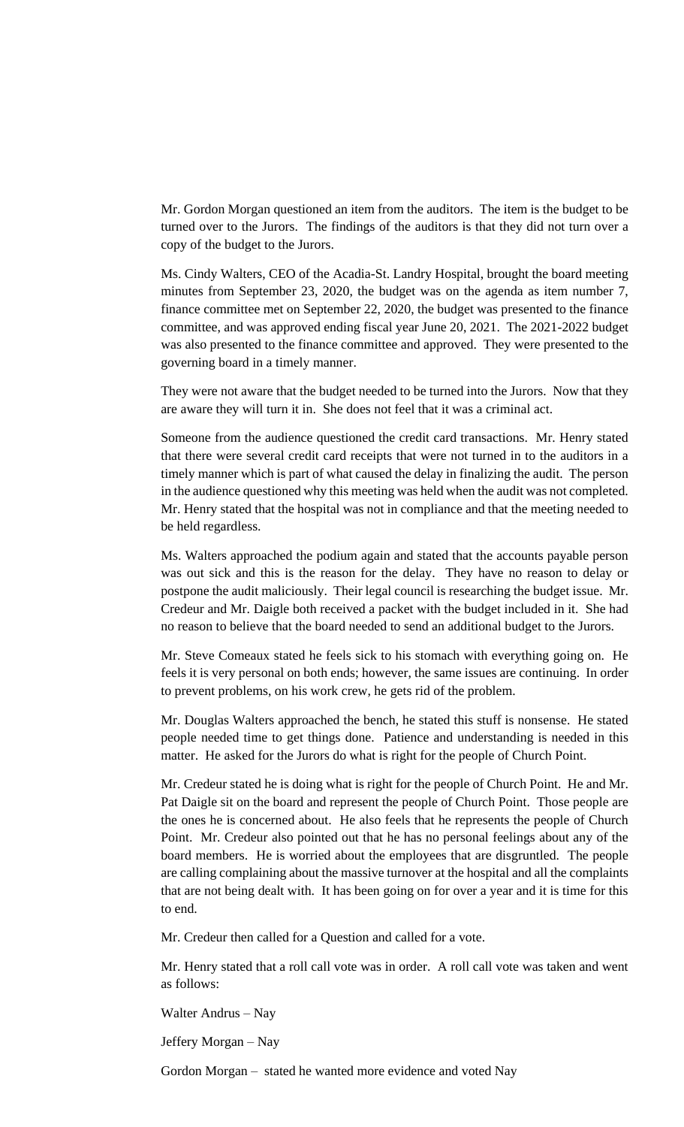Mr. Gordon Morgan questioned an item from the auditors. The item is the budget to be turned over to the Jurors. The findings of the auditors is that they did not turn over a copy of the budget to the Jurors.

Ms. Cindy Walters, CEO of the Acadia-St. Landry Hospital, brought the board meeting minutes from September 23, 2020, the budget was on the agenda as item number 7, finance committee met on September 22, 2020, the budget was presented to the finance committee, and was approved ending fiscal year June 20, 2021. The 2021-2022 budget was also presented to the finance committee and approved. They were presented to the governing board in a timely manner.

They were not aware that the budget needed to be turned into the Jurors. Now that they are aware they will turn it in. She does not feel that it was a criminal act.

Someone from the audience questioned the credit card transactions. Mr. Henry stated that there were several credit card receipts that were not turned in to the auditors in a timely manner which is part of what caused the delay in finalizing the audit. The person in the audience questioned why this meeting was held when the audit was not completed. Mr. Henry stated that the hospital was not in compliance and that the meeting needed to be held regardless.

Ms. Walters approached the podium again and stated that the accounts payable person was out sick and this is the reason for the delay. They have no reason to delay or postpone the audit maliciously. Their legal council is researching the budget issue. Mr. Credeur and Mr. Daigle both received a packet with the budget included in it. She had no reason to believe that the board needed to send an additional budget to the Jurors.

Mr. Steve Comeaux stated he feels sick to his stomach with everything going on. He feels it is very personal on both ends; however, the same issues are continuing. In order to prevent problems, on his work crew, he gets rid of the problem.

Mr. Douglas Walters approached the bench, he stated this stuff is nonsense. He stated people needed time to get things done. Patience and understanding is needed in this matter. He asked for the Jurors do what is right for the people of Church Point.

Mr. Credeur stated he is doing what is right for the people of Church Point. He and Mr. Pat Daigle sit on the board and represent the people of Church Point. Those people are the ones he is concerned about. He also feels that he represents the people of Church Point. Mr. Credeur also pointed out that he has no personal feelings about any of the board members. He is worried about the employees that are disgruntled. The people are calling complaining about the massive turnover at the hospital and all the complaints that are not being dealt with. It has been going on for over a year and it is time for this to end.

Mr. Credeur then called for a Question and called for a vote.

Mr. Henry stated that a roll call vote was in order. A roll call vote was taken and went as follows:

Walter Andrus – Nay

Jeffery Morgan – Nay

Gordon Morgan – stated he wanted more evidence and voted Nay